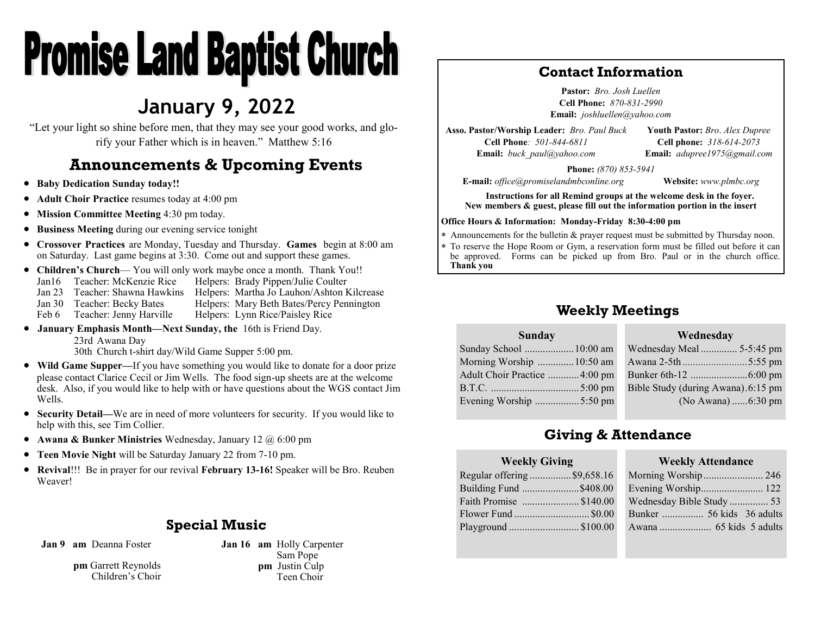# **Promise Land Baptist Church**

# **January 9, 2022**

"Let your light so shine before men, that they may see your good works, and glorify your Father which is in heaven." Matthew 5:16

# **Announcements & Upcoming Events**

- **Baby Dedication Sunday today!!**
- **Adult Choir Practice** resumes today at 4:00 pm
- **Mission Committee Meeting** 4:30 pm today.
- **Business Meeting** during our evening service tonight
- **Crossover Practices** are Monday, Tuesday and Thursday. **Games** begin at 8:00 am on Saturday. Last game begins at 3:30. Come out and support these games.
- **Children's Church** You will only work maybe once a month. Thank You!! Jan16 Teacher: McKenzie Rice Helpers: Brady Pippen/Julie Coulter Jan 23 Teacher: Shawna Hawkins Helpers: Martha Jo Lauhon/Ashton Kilcrease Jan 30 Teacher: Becky Bates Helpers: Mary Beth Bates/Percy Pennington Feb 6 Teacher: Jenny Harville Helpers: Lynn Rice/Paisley Rice
- **January Emphasis Month—Next Sunday, the** 16th is Friend Day. 23rd Awana Day 30th Church t-shirt day/Wild Game Supper 5:00 pm.
- **Wild Game Supper—**If you have something you would like to donate for a door prize please contact Clarice Cecil or Jim Wells. The food sign-up sheets are at the welcome desk. Also, if you would like to help with or have questions about the WGS contact Jim Wells.
- **Security Detail—**We are in need of more volunteers for security. If you would like to help with this, see Tim Collier.
- **Awana & Bunker Ministries** Wednesday, January 12 @ 6:00 pm
- **Teen Movie Night** will be Saturday January 22 from 7-10 pm.
- **Revival**!!! Be in prayer for our revival **February 13-16!** Speaker will be Bro. Reuben Weaver!

#### **Special Music**

**Jan 9 am** Deanna Foster

**pm** Garrett Reynolds Children's Choir **Jan 16 am** Holly Carpenter Sam Pope **pm** Justin Culp Teen Choir

#### **Contact Information**

**Pastor:** *Bro. Josh Luellen* **Cell Phone:** *870-831-2990* **Email:** *joshluellen@yahoo.com* 

**Asso. Pastor/Worship Leader:** *Bro. Paul Buck* **Cell Phone***: 501-844-6811* **Email:** *buck\_paul@yahoo.com*

**Youth Pastor:** *Bro*. *Alex Dupree* **Cell phone:** *318-614-2073* **Email:** *adupree1975@gmail.com*

**Phone:** *(870) 853-5941*

**E-mail:** *office@promiselandmbconline.org* **Website:** *www.plmbc.org*

**Instructions for all Remind groups at the welcome desk in the foyer. New members & guest, please fill out the information portion in the insert**

#### **Office Hours & Information: Monday-Friday 8:30-4:00 pm**

Announcements for the bulletin & prayer request must be submitted by Thursday noon.

 To reserve the Hope Room or Gym, a reservation form must be filled out before it can be approved. Forms can be picked up from Bro. Paul or in the church office. **Thank you**

### **Weekly Meetings**

#### **Sunday** Sunday School ...................10:00 am Morning Worship ..............10:50 am Adult Choir Practice ............4:00 pm B.T.C. ..................................5:00 pm Evening Worship .................5:50 pm **Wednesday** Wednesday Meal .............. 5-5:45 pm Awana 2-5th *.........................*5:55 pm Bunker 6th-12 ......................6:00 pm Bible Study (during Awana).6:15 pm (No Awana) ......6:30 pm

# **Giving & Attendance**

#### **Weekly Giving**

| Regular offering \$9,658.16 |  |
|-----------------------------|--|
| Building Fund \$408.00      |  |
| Faith Promise \$140.00      |  |
| Flower Fund  \$0.00         |  |
| Playground  \$100.00        |  |
|                             |  |

#### **Weekly Attendance**

| Morning Worship 246       |  |
|---------------------------|--|
| Evening Worship 122       |  |
| Wednesday Bible Study  53 |  |
|                           |  |
|                           |  |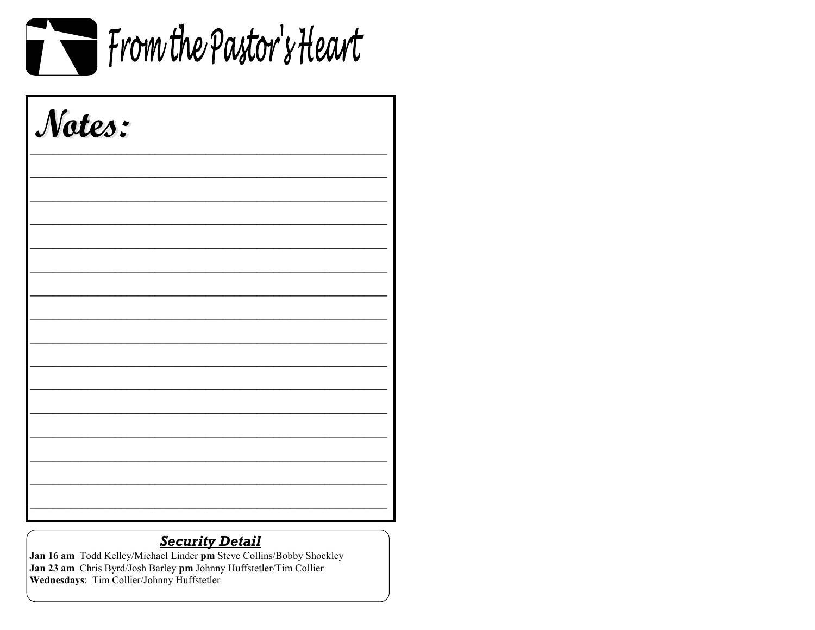

| Notes: |  |  |
|--------|--|--|
|        |  |  |
|        |  |  |
|        |  |  |
|        |  |  |
|        |  |  |
|        |  |  |
|        |  |  |
|        |  |  |
|        |  |  |

# **Security Detail**

Jan 16 am Todd Kelley/Michael Linder pm Steve Collins/Bobby Shockley Jan 23 am Chris Byrd/Josh Barley pm Johnny Huffstetler/Tim Collier Wednesdays: Tim Collier/Johnny Huffstetler